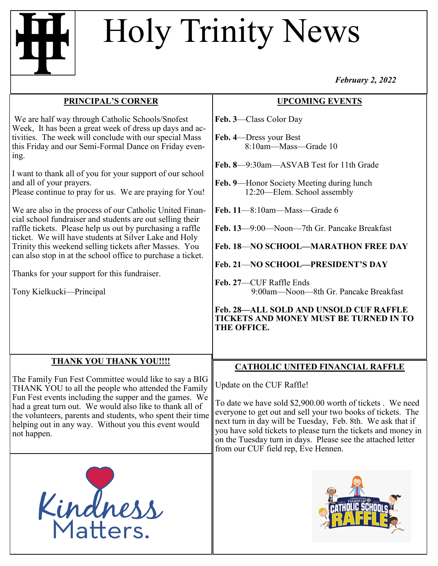## Holy Trinity News

*February 2, 2022*

| <b>PRINCIPAL'S CORNER</b>                                                                                                                                                                                                                                                                                                                                                                                                                                                                                                                                                                                                                                                                                                                                                                                                                      | <b>UPCOMING EVENTS</b>                                                                                                                                                                                                                                                                                                                                                                                                                                                                                                                  |
|------------------------------------------------------------------------------------------------------------------------------------------------------------------------------------------------------------------------------------------------------------------------------------------------------------------------------------------------------------------------------------------------------------------------------------------------------------------------------------------------------------------------------------------------------------------------------------------------------------------------------------------------------------------------------------------------------------------------------------------------------------------------------------------------------------------------------------------------|-----------------------------------------------------------------------------------------------------------------------------------------------------------------------------------------------------------------------------------------------------------------------------------------------------------------------------------------------------------------------------------------------------------------------------------------------------------------------------------------------------------------------------------------|
| We are half way through Catholic Schools/Snofest<br>Week, It has been a great week of dress up days and ac-<br>tivities. The week will conclude with our special Mass<br>this Friday and our Semi-Formal Dance on Friday even-<br>ing.<br>I want to thank all of you for your support of our school<br>and all of your prayers.<br>Please continue to pray for us. We are praying for You!<br>We are also in the process of our Catholic United Finan-<br>cial school fundraiser and students are out selling their<br>raffle tickets. Please help us out by purchasing a raffle<br>ticket. We will have students at Silver Lake and Holy<br>Trinity this weekend selling tickets after Masses. You<br>can also stop in at the school office to purchase a ticket.<br>Thanks for your support for this fundraiser.<br>Tony Kielkucki-Principal | Feb. 3-Class Color Day<br>Feb. 4-Dress your Best<br>8:10am-Mass-Grade 10<br>Feb. 8-9:30am-ASVAB Test for 11th Grade<br>Feb. 9—Honor Society Meeting during lunch<br>12:20-Elem. School assembly<br>Feb. 11-8:10am-Mass-Grade 6<br>Feb. 13—9:00—Noon—7th Gr. Pancake Breakfast<br>Feb. 18-NO SCHOOL-MARATHON FREE DAY<br>Feb. 21-NO SCHOOL-PRESIDENT'S DAY<br>Feb. 27-CUF Raffle Ends<br>9:00am—Noon—8th Gr. Pancake Breakfast<br><b>Feb. 28-ALL SOLD AND UNSOLD CUF RAFFLE</b><br>TICKETS AND MONEY MUST BE TURNED IN TO<br>THE OFFICE. |
| <b>THANK YOU THANK YOU!!!!</b><br>The Family Fun Fest Committee would like to say a BIG<br>THANK YOU to all the people who attended the Family<br>Fun Fest events including the supper and the games. We<br>had a great turn out. We would also like to thank all of<br>the volunteers, parents and students, who spent their time<br>helping out in any way. Without you this event would<br>not happen.<br>Kindness                                                                                                                                                                                                                                                                                                                                                                                                                          | <b>CATHOLIC UNITED FINANCIAL RAFFLE</b><br>Update on the CUF Raffle!<br>To date we have sold \$2,900.00 worth of tickets. We need<br>everyone to get out and sell your two books of tickets. The<br>next turn in day will be Tuesday, Feb. 8th. We ask that if<br>you have sold tickets to please turn the tickets and money in<br>on the Tuesday turn in days. Please see the attached letter<br>from our CUF field rep, Eve Hennen.                                                                                                   |